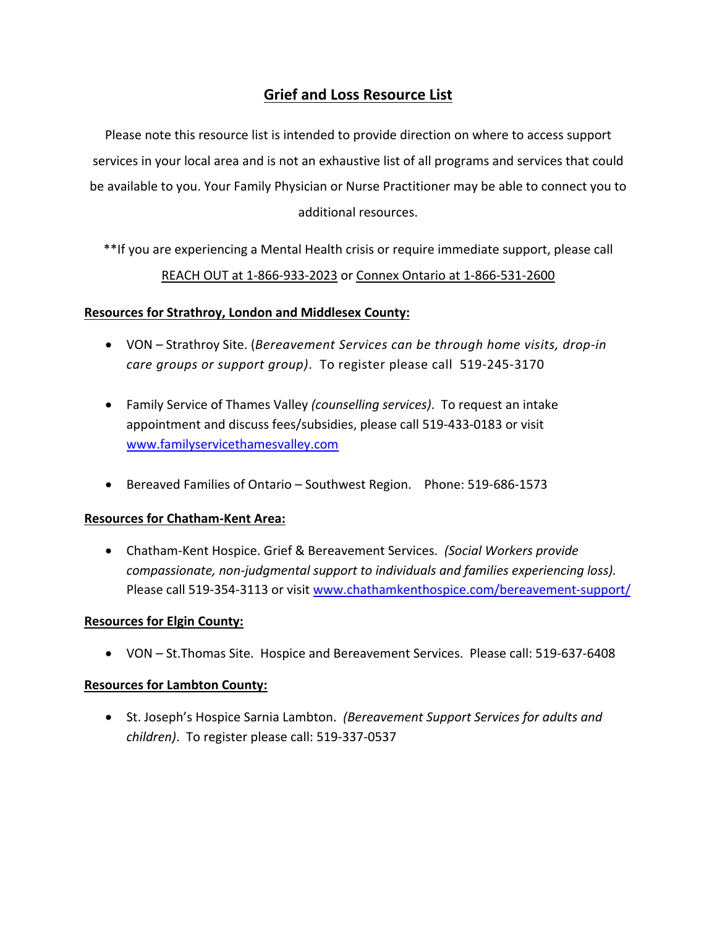# **Grief and Loss Resource List**

Please note this resource list is intended to provide direction on where to access support services in your local area and is not an exhaustive list of all programs and services that could be available to you. Your Family Physician or Nurse Practitioner may be able to connect you to additional resources.

\*\*If you are experiencing a Mental Health crisis or require immediate support, please call REACH OUT at 1‐866‐933‐2023 or Connex Ontario at 1‐866‐531‐2600

## **Resources for Strathroy, London and Middlesex County:**

- VON Strathroy Site. (*Bereavement Services can be through home visits, drop‐in care groups or support group)*. To register please call 519‐245‐3170
- Family Service of Thames Valley *(counselling services)*. To request an intake appointment and discuss fees/subsidies, please call 519‐433‐0183 or visit www.familyservicethamesvalley.com
- Bereaved Families of Ontario Southwest Region. Phone: 519-686-1573

## **Resources for Chatham‐Kent Area:**

 Chatham‐Kent Hospice. Grief & Bereavement Services. *(Social Workers provide compassionate, non‐judgmental support to individuals and families experiencing loss).*  Please call 519-354-3113 or visit www.chathamkenthospice.com/bereavement-support/

#### **Resources for Elgin County:**

VON – St.Thomas Site. Hospice and Bereavement Services. Please call: 519‐637‐6408

#### **Resources for Lambton County:**

 St. Joseph's Hospice Sarnia Lambton. *(Bereavement Support Services for adults and children)*. To register please call: 519‐337‐0537